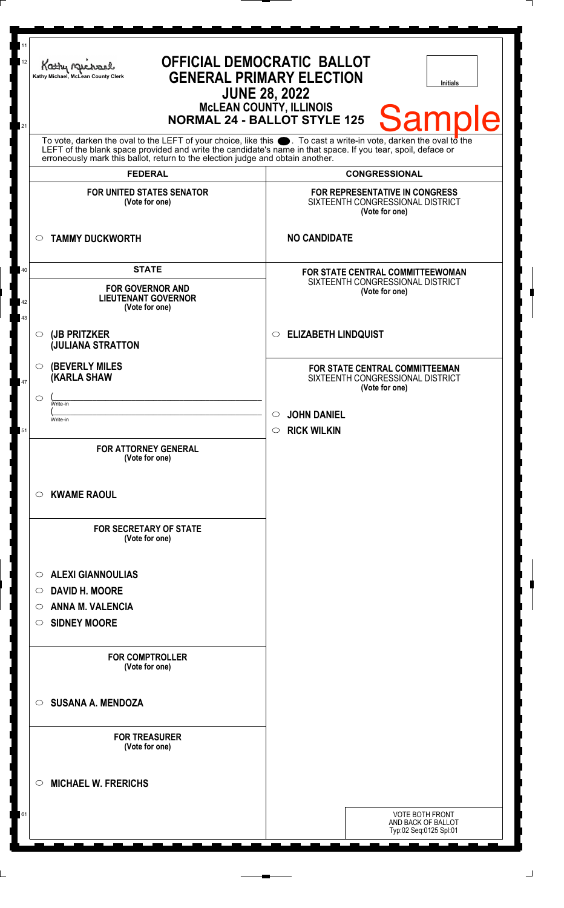| 12       | <b>OFFICIAL DEMOCRATIC BALLOT</b><br>Kathy Michael<br><b>GENERAL PRIMARY ELECTION</b><br>Kathy Michael, McLean County Clerk<br><b>Initials</b><br><b>JUNE 28, 2022</b>                                                                                                                                                       |                                                                                      |
|----------|------------------------------------------------------------------------------------------------------------------------------------------------------------------------------------------------------------------------------------------------------------------------------------------------------------------------------|--------------------------------------------------------------------------------------|
| 21       | <b>McLEAN COUNTY, ILLINOIS</b><br><b>Sample</b><br><b>NORMAL 24 - BALLOT STYLE 125</b>                                                                                                                                                                                                                                       |                                                                                      |
|          | To vote, darken the oval to the LEFT of your choice, like this $\bullet$ . To cast a write-in vote, darken the oval to the<br>LEFT of the blank space provided and write the candidate's name in that space. If you tear, spoil, deface or<br>erroneously mark this ballot, return to the election judge and obtain another. |                                                                                      |
|          | <b>FEDERAL</b>                                                                                                                                                                                                                                                                                                               | <b>CONGRESSIONAL</b>                                                                 |
|          | <b>FOR UNITED STATES SENATOR</b><br>(Vote for one)                                                                                                                                                                                                                                                                           | FOR REPRESENTATIVE IN CONGRESS<br>SIXTEENTH CONGRESSIONAL DISTRICT<br>(Vote for one) |
|          | <b>TAMMY DUCKWORTH</b><br>$\circ$                                                                                                                                                                                                                                                                                            | <b>NO CANDIDATE</b>                                                                  |
| 40       | <b>STATE</b>                                                                                                                                                                                                                                                                                                                 | <b>FOR STATE CENTRAL COMMITTEEWOMAN</b>                                              |
| 42<br>43 | <b>FOR GOVERNOR AND</b><br><b>LIEUTENANT GOVERNOR</b><br>(Vote for one)                                                                                                                                                                                                                                                      | SIXTEENTH CONGRESSIONAL DISTRICT<br>(Vote for one)                                   |
|          | (JB PRITZKER<br>$\circ$<br><b>JULIANA STRATTON</b>                                                                                                                                                                                                                                                                           | <b>ELIZABETH LINDQUIST</b><br>$\circ$                                                |
| 47       | <b>(BEVERLY MILES</b><br>$\circ$<br><b>(KARLA SHAW</b>                                                                                                                                                                                                                                                                       | FOR STATE CENTRAL COMMITTEEMAN<br>SIXTEENTH CONGRESSIONAL DISTRICT<br>(Vote for one) |
|          | $\circ$<br>Write-in                                                                                                                                                                                                                                                                                                          |                                                                                      |
|          | Write-in                                                                                                                                                                                                                                                                                                                     | <b>JOHN DANIEL</b>                                                                   |
| 51       |                                                                                                                                                                                                                                                                                                                              | <b>RICK WILKIN</b><br>$\circ$                                                        |
|          | <b>FOR ATTORNEY GENERAL</b><br>(Vote for one)                                                                                                                                                                                                                                                                                |                                                                                      |
|          | <b>KWAME RAOUL</b><br>$\circ$                                                                                                                                                                                                                                                                                                |                                                                                      |
|          | <b>FOR SECRETARY OF STATE</b><br>(Vote for one)                                                                                                                                                                                                                                                                              |                                                                                      |
|          | <b>ALEXI GIANNOULIAS</b><br>$\circ$                                                                                                                                                                                                                                                                                          |                                                                                      |
|          | <b>DAVID H. MOORE</b><br>$\circ$                                                                                                                                                                                                                                                                                             |                                                                                      |
|          | <b>ANNA M. VALENCIA</b><br>$\circ$                                                                                                                                                                                                                                                                                           |                                                                                      |
|          | <b>SIDNEY MOORE</b><br>$\circ$                                                                                                                                                                                                                                                                                               |                                                                                      |
|          | <b>FOR COMPTROLLER</b><br>(Vote for one)                                                                                                                                                                                                                                                                                     |                                                                                      |
|          | <b>SUSANA A. MENDOZA</b><br>$\circ$                                                                                                                                                                                                                                                                                          |                                                                                      |
|          | <b>FOR TREASURER</b><br>(Vote for one)                                                                                                                                                                                                                                                                                       |                                                                                      |
|          | <b>MICHAEL W. FRERICHS</b><br>$\circlearrowright$                                                                                                                                                                                                                                                                            |                                                                                      |
| 61       |                                                                                                                                                                                                                                                                                                                              | <b>VOTE BOTH FRONT</b><br>AND BACK OF BALLOT<br>Typ:02 Seq:0125 Spl:01               |

 $\Box$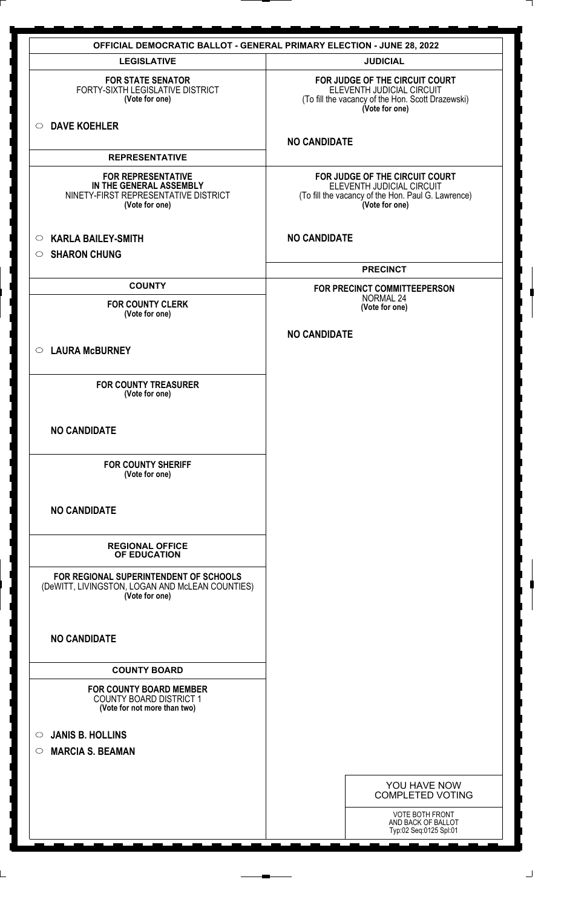| <b>OFFICIAL DEMOCRATIC BALLOT - GENERAL PRIMARY ELECTION - JUNE 28, 2022</b>                                   |                                                                                                                                     |  |  |
|----------------------------------------------------------------------------------------------------------------|-------------------------------------------------------------------------------------------------------------------------------------|--|--|
| <b>LEGISLATIVE</b>                                                                                             | <b>JUDICIAL</b>                                                                                                                     |  |  |
| <b>FOR STATE SENATOR</b><br>FORTY-SIXTH LEGISLATIVE DISTRICT<br>(Vote for one)                                 | FOR JUDGE OF THE CIRCUIT COURT<br>ELEVENTH JUDICIAL CIRCUIT<br>(To fill the vacancy of the Hon. Scott Drazewski)<br>(Vote for one)  |  |  |
| <b>DAVE KOEHLER</b><br>$\circ$                                                                                 | <b>NO CANDIDATE</b>                                                                                                                 |  |  |
| <b>REPRESENTATIVE</b>                                                                                          |                                                                                                                                     |  |  |
| <b>FOR REPRESENTATIVE</b><br>IN THE GENERAL ASSEMBLY<br>NINETY-FIRST REPRESENTATIVE DISTRICT<br>(Vote for one) | FOR JUDGE OF THE CIRCUIT COURT<br>ELEVENTH JUDICIAL CIRCUIT<br>(To fill the vacancy of the Hon. Paul G. Lawrence)<br>(Vote for one) |  |  |
| <b>KARLA BAILEY-SMITH</b><br>$\circ$                                                                           | <b>NO CANDIDATE</b>                                                                                                                 |  |  |
| <b>SHARON CHUNG</b><br>$\circ$                                                                                 |                                                                                                                                     |  |  |
|                                                                                                                | <b>PRECINCT</b>                                                                                                                     |  |  |
| <b>COUNTY</b>                                                                                                  | FOR PRECINCT COMMITTEEPERSON                                                                                                        |  |  |
| <b>FOR COUNTY CLERK</b>                                                                                        | <b>NORMAL 24</b><br>(Vote for one)                                                                                                  |  |  |
| (Vote for one)                                                                                                 |                                                                                                                                     |  |  |
| <b>LAURA McBURNEY</b><br>$\circ$                                                                               | <b>NO CANDIDATE</b>                                                                                                                 |  |  |
| <b>FOR COUNTY TREASURER</b><br>(Vote for one)                                                                  |                                                                                                                                     |  |  |
| <b>NO CANDIDATE</b>                                                                                            |                                                                                                                                     |  |  |
| <b>FOR COUNTY SHERIFF</b><br>(Vote for one)                                                                    |                                                                                                                                     |  |  |
| <b>NO CANDIDATE</b>                                                                                            |                                                                                                                                     |  |  |
| <b>REGIONAL OFFICE</b><br>OF EDUCATION                                                                         |                                                                                                                                     |  |  |
| FOR REGIONAL SUPERINTENDENT OF SCHOOLS<br>(DeWITT, LIVINGSTON, LOGAN AND McLEAN COUNTIES)<br>(Vote for one)    |                                                                                                                                     |  |  |
| <b>NO CANDIDATE</b>                                                                                            |                                                                                                                                     |  |  |
| <b>COUNTY BOARD</b>                                                                                            |                                                                                                                                     |  |  |
| <b>FOR COUNTY BOARD MEMBER</b><br><b>COUNTY BOARD DISTRICT 1</b><br>(Vote for not more than two)               |                                                                                                                                     |  |  |
| <b>JANIS B. HOLLINS</b>                                                                                        |                                                                                                                                     |  |  |
| $\circ$<br><b>MARCIA S. BEAMAN</b><br>$\circ$                                                                  |                                                                                                                                     |  |  |
|                                                                                                                | YOU HAVE NOW<br><b>COMPLETED VOTING</b>                                                                                             |  |  |
|                                                                                                                | <b>VOTE BOTH FRONT</b><br>AND BACK OF BALLOT<br>Typ:02 Seq:0125 Spl:01                                                              |  |  |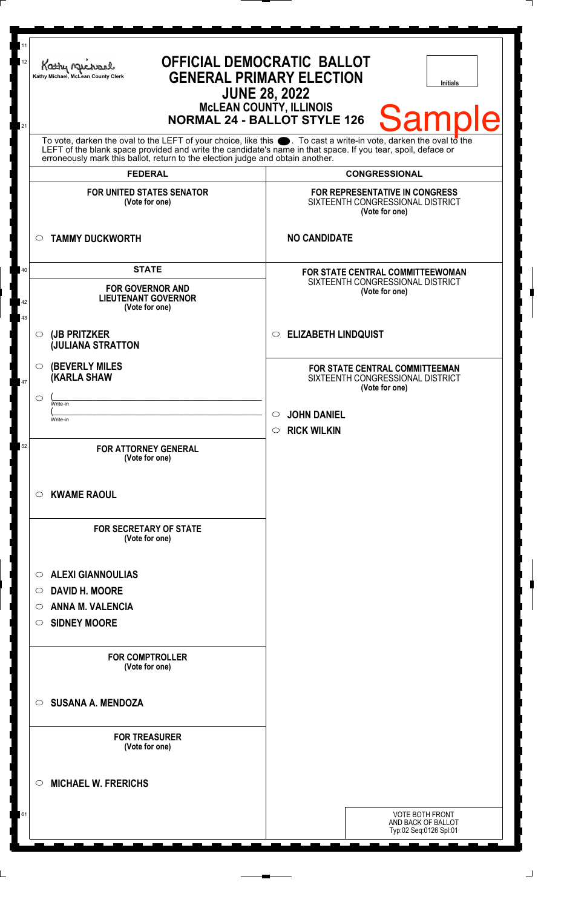| 11<br>12 | Kathy Muc<br>Kathy Michael, McLean County Clerk                                                                                                                                                                                                                                                                        | <b>OFFICIAL DEMOCRATIC BALLOT</b><br><b>GENERAL PRIMARY ELECTION</b><br><b>Initials</b><br><b>JUNE 28, 2022</b><br><b>McLEAN COUNTY, ILLINOIS</b> |
|----------|------------------------------------------------------------------------------------------------------------------------------------------------------------------------------------------------------------------------------------------------------------------------------------------------------------------------|---------------------------------------------------------------------------------------------------------------------------------------------------|
| 21       |                                                                                                                                                                                                                                                                                                                        | <b>Sample</b><br><b>NORMAL 24 - BALLOT STYLE 126</b>                                                                                              |
|          | To vote, darken the oval to the LEFT of your choice, like this $\bullet$ . To cast a write-in vote, darken the oval to the LEFT of the blank space provided and write the candidate's name in that space. If you tear, spoil, deface<br>erroneously mark this ballot, return to the election judge and obtain another. |                                                                                                                                                   |
|          | <b>FEDERAL</b>                                                                                                                                                                                                                                                                                                         | <b>CONGRESSIONAL</b>                                                                                                                              |
|          | <b>FOR UNITED STATES SENATOR</b><br>(Vote for one)                                                                                                                                                                                                                                                                     | FOR REPRESENTATIVE IN CONGRESS<br>SIXTEENTH CONGRESSIONAL DISTRICT<br>(Vote for one)                                                              |
|          | <b>TAMMY DUCKWORTH</b><br>$\circ$                                                                                                                                                                                                                                                                                      | <b>NO CANDIDATE</b>                                                                                                                               |
| 40       | <b>STATE</b>                                                                                                                                                                                                                                                                                                           | FOR STATE CENTRAL COMMITTEEWOMAN                                                                                                                  |
| 42<br>43 | <b>FOR GOVERNOR AND</b><br><b>LIEUTENANT GOVERNOR</b><br>(Vote for one)                                                                                                                                                                                                                                                | SIXTEENTH CONGRESSIONAL DISTRICT<br>(Vote for one)                                                                                                |
|          | (JB PRITZKER<br>$\circ$<br><b>JULIANA STRATTON</b>                                                                                                                                                                                                                                                                     | <b>ELIZABETH LINDQUIST</b><br>$\circ$                                                                                                             |
| 47       | <b>(BEVERLY MILES)</b><br>$\circ$<br><b>(KARLA SHAW</b>                                                                                                                                                                                                                                                                | FOR STATE CENTRAL COMMITTEEMAN<br>SIXTEENTH CONGRESSIONAL DISTRICT<br>(Vote for one)                                                              |
|          | $\circlearrowright$<br>Write-in                                                                                                                                                                                                                                                                                        |                                                                                                                                                   |
|          | Write-in                                                                                                                                                                                                                                                                                                               | <b>JOHN DANIEL</b>                                                                                                                                |
|          |                                                                                                                                                                                                                                                                                                                        | <b>RICK WILKIN</b><br>$\circ$                                                                                                                     |
| 52       | <b>FOR ATTORNEY GENERAL</b><br>(Vote for one)                                                                                                                                                                                                                                                                          |                                                                                                                                                   |
|          | <b>KWAME RAOUL</b><br>$\circ$                                                                                                                                                                                                                                                                                          |                                                                                                                                                   |
|          | <b>FOR SECRETARY OF STATE</b><br>(Vote for one)                                                                                                                                                                                                                                                                        |                                                                                                                                                   |
|          | <b>ALEXI GIANNOULIAS</b><br>$\circ$                                                                                                                                                                                                                                                                                    |                                                                                                                                                   |
|          | <b>DAVID H. MOORE</b><br>$\circ$                                                                                                                                                                                                                                                                                       |                                                                                                                                                   |
|          | ANNA M. VALENCIA<br>O                                                                                                                                                                                                                                                                                                  |                                                                                                                                                   |
|          | <b>SIDNEY MOORE</b><br>O                                                                                                                                                                                                                                                                                               |                                                                                                                                                   |
|          | <b>FOR COMPTROLLER</b><br>(Vote for one)                                                                                                                                                                                                                                                                               |                                                                                                                                                   |
|          | <b>SUSANA A. MENDOZA</b><br>$\circ$                                                                                                                                                                                                                                                                                    |                                                                                                                                                   |
|          | <b>FOR TREASURER</b><br>(Vote for one)                                                                                                                                                                                                                                                                                 |                                                                                                                                                   |
|          | <b>MICHAEL W. FRERICHS</b><br>$\circ$                                                                                                                                                                                                                                                                                  |                                                                                                                                                   |
| 61       |                                                                                                                                                                                                                                                                                                                        | <b>VOTE BOTH FRONT</b><br>AND BACK OF BALLOT<br>Typ:02 Seq:0126 Spl:01                                                                            |